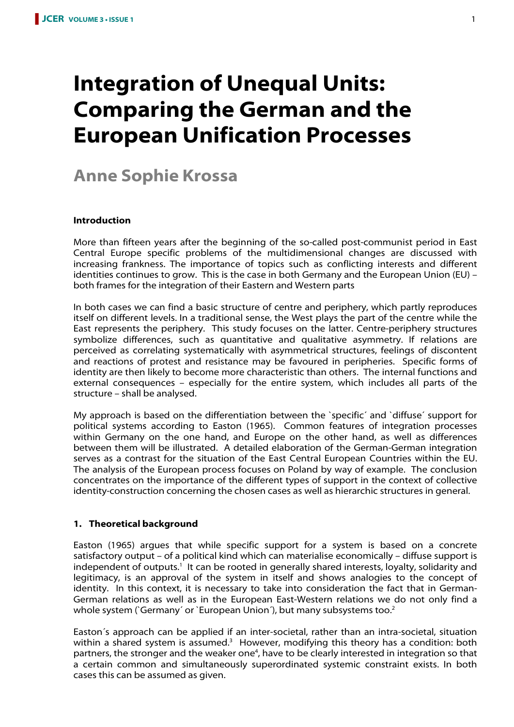# **Integration of Unequal Units: Comparing the German and the European Unification Processes**

# **Anne Sophie Krossa**

#### **Introduction**

More than fifteen years after the beginning of the so-called post-communist period in East Central Europe specific problems of the multidimensional changes are discussed with increasing frankness. The importance of topics such as conflicting interests and different identities continues to grow. This is the case in both Germany and the European Union (EU) – both frames for the integration of their Eastern and Western parts

In both cases we can find a basic structure of centre and periphery, which partly reproduces itself on different levels. In a traditional sense, the West plays the part of the centre while the East represents the periphery. This study focuses on the latter. Centre-periphery structures symbolize differences, such as quantitative and qualitative asymmetry. If relations are perceived as correlating systematically with asymmetrical structures, feelings of discontent and reactions of protest and resistance may be favoured in peripheries. Specific forms of identity are then likely to become more characteristic than others. The internal functions and external consequences – especially for the entire system, which includes all parts of the structure – shall be analysed.

My approach is based on the differentiation between the `specific´ and `diffuse´ support for political systems according to Easton (1965). Common features of integration processes within Germany on the one hand, and Europe on the other hand, as well as differences between them will be illustrated. A detailed elaboration of the German-German integration serves as a contrast for the situation of the East Central European Countries within the EU. The analysis of the European process focuses on Poland by way of example. The conclusion concentrates on the importance of the different types of support in the context of collective identity-construction concerning the chosen cases as well as hierarchic structures in general.

#### **1. Theoretical background**

Easton (1965) argues that while specific support for a system is based on a concrete satisfactory output – of a political kind which can materialise economically – diffuse support is independent of outputs.<sup>1</sup> It can be rooted in generally shared interests, loyalty, solidarity and legitimacy, is an approval of the system in itself and shows analogies to the concept of identity. In this context, it is necessary to take into consideration the fact that in German-German relations as well as in the European East-Western relations we do not only find a whole system (`Germany´ or `European Union´), but many subsystems too.<sup>2</sup>

Easton´s approach can be applied if an inter-societal, rather than an intra-societal, situation within a shared system is assumed.<sup>3</sup> However, modifying this theory has a condition: both partners, the stronger and the weaker one<sup>4</sup>, have to be clearly interested in integration so that a certain common and simultaneously superordinated systemic constraint exists. In both cases this can be assumed as given.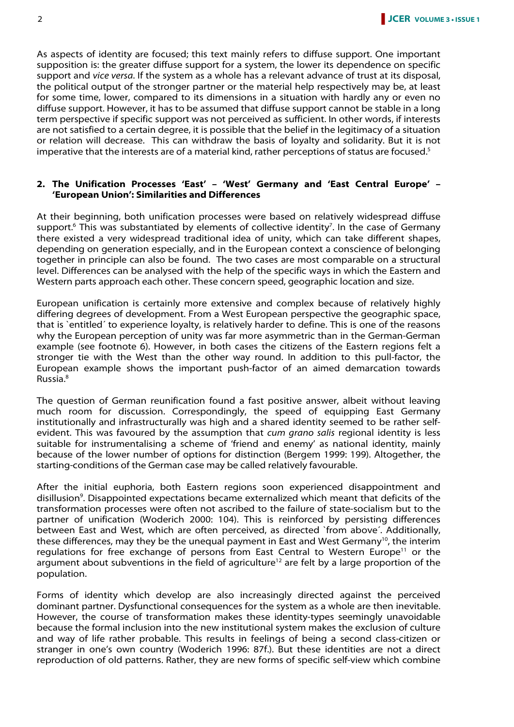As aspects of identity are focused; this text mainly refers to diffuse support. One important supposition is: the greater diffuse support for a system, the lower its dependence on specific support and vice versa. If the system as a whole has a relevant advance of trust at its disposal, the political output of the stronger partner or the material help respectively may be, at least for some time, lower, compared to its dimensions in a situation with hardly any or even no diffuse support. However, it has to be assumed that diffuse support cannot be stable in a long term perspective if specific support was not perceived as sufficient. In other words, if interests are not satisfied to a certain degree, it is possible that the belief in the legitimacy of a situation or relation will decrease. This can withdraw the basis of loyalty and solidarity. But it is not imperative that the interests are of a material kind, rather perceptions of status are focused.<sup>5</sup>

#### **2. The Unification Processes 'East' – 'West' Germany and 'East Central Europe' – 'European Union': Similarities and Differences**

At their beginning, both unification processes were based on relatively widespread diffuse support.<sup>6</sup> This was substantiated by elements of collective identity<sup>7</sup>. In the case of Germany there existed a very widespread traditional idea of unity, which can take different shapes, depending on generation especially, and in the European context a conscience of belonging together in principle can also be found. The two cases are most comparable on a structural level. Differences can be analysed with the help of the specific ways in which the Eastern and Western parts approach each other. These concern speed, geographic location and size.

European unification is certainly more extensive and complex because of relatively highly differing degrees of development. From a West European perspective the geographic space, that is `entitled´ to experience loyalty, is relatively harder to define. This is one of the reasons why the European perception of unity was far more asymmetric than in the German-German example (see footnote 6). However, in both cases the citizens of the Eastern regions felt a stronger tie with the West than the other way round. In addition to this pull-factor, the European example shows the important push-factor of an aimed demarcation towards Russia.<sup>8</sup>

The question of German reunification found a fast positive answer, albeit without leaving much room for discussion. Correspondingly, the speed of equipping East Germany institutionally and infrastructurally was high and a shared identity seemed to be rather selfevident. This was favoured by the assumption that *cum grano salis* regional identity is less suitable for instrumentalising a scheme of 'friend and enemy' as national identity, mainly because of the lower number of options for distinction (Bergem 1999: 199). Altogether, the starting-conditions of the German case may be called relatively favourable.

After the initial euphoria, both Eastern regions soon experienced disappointment and disillusion<sup>9</sup>. Disappointed expectations became externalized which meant that deficits of the transformation processes were often not ascribed to the failure of state-socialism but to the partner of unification (Woderich 2000: 104). This is reinforced by persisting differences between East and West, which are often perceived, as directed `from above´. Additionally, these differences, may they be the unequal payment in East and West Germany<sup>10</sup>, the interim regulations for free exchange of persons from East Central to Western Europe<sup>11</sup> or the argument about subventions in the field of agriculture<sup>12</sup> are felt by a large proportion of the population.

Forms of identity which develop are also increasingly directed against the perceived dominant partner. Dysfunctional consequences for the system as a whole are then inevitable. However, the course of transformation makes these identity-types seemingly unavoidable because the formal inclusion into the new institutional system makes the exclusion of culture and way of life rather probable. This results in feelings of being a second class-citizen or stranger in one's own country (Woderich 1996: 87f.). But these identities are not a direct reproduction of old patterns. Rather, they are new forms of specific self-view which combine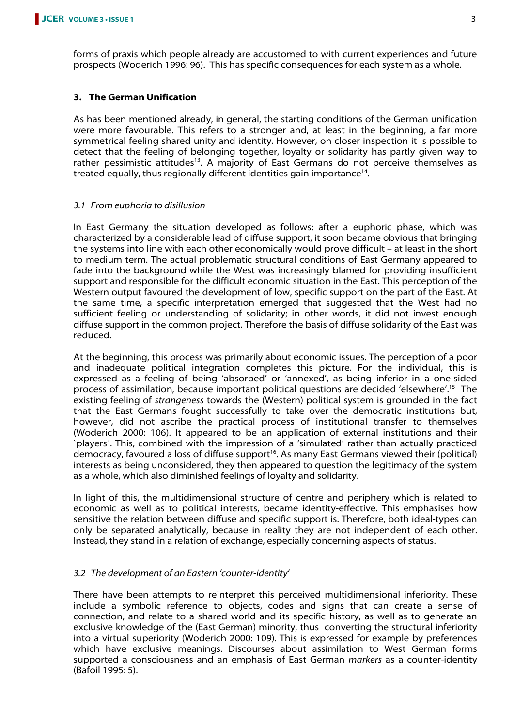forms of praxis which people already are accustomed to with current experiences and future prospects (Woderich 1996: 96). This has specific consequences for each system as a whole.

# **3. The German Unification**

As has been mentioned already, in general, the starting conditions of the German unification were more favourable. This refers to a stronger and, at least in the beginning, a far more symmetrical feeling shared unity and identity. However, on closer inspection it is possible to detect that the feeling of belonging together, loyalty or solidarity has partly given way to rather pessimistic attitudes<sup>13</sup>. A majority of East Germans do not perceive themselves as treated equally, thus regionally different identities gain importance<sup>14</sup>.

# 3.1 From euphoria to disillusion

In East Germany the situation developed as follows: after a euphoric phase, which was characterized by a considerable lead of diffuse support, it soon became obvious that bringing the systems into line with each other economically would prove difficult – at least in the short to medium term. The actual problematic structural conditions of East Germany appeared to fade into the background while the West was increasingly blamed for providing insufficient support and responsible for the difficult economic situation in the East. This perception of the Western output favoured the development of low, specific support on the part of the East. At the same time, a specific interpretation emerged that suggested that the West had no sufficient feeling or understanding of solidarity; in other words, it did not invest enough diffuse support in the common project. Therefore the basis of diffuse solidarity of the East was reduced.

At the beginning, this process was primarily about economic issues. The perception of a poor and inadequate political integration completes this picture. For the individual, this is expressed as a feeling of being 'absorbed' or 'annexed', as being inferior in a one-sided process of assimilation, because important political questions are decided 'elsewhere'.<sup>15</sup> The existing feeling of *strangeness* towards the (Western) political system is grounded in the fact that the East Germans fought successfully to take over the democratic institutions but, however, did not ascribe the practical process of institutional transfer to themselves (Woderich 2000: 106). It appeared to be an application of external institutions and their `players´. This, combined with the impression of a 'simulated' rather than actually practiced democracy, favoured a loss of diffuse support<sup>16</sup>. As many East Germans viewed their (political) interests as being unconsidered, they then appeared to question the legitimacy of the system as a whole, which also diminished feelings of loyalty and solidarity.

In light of this, the multidimensional structure of centre and periphery which is related to economic as well as to political interests, became identity-effective. This emphasises how sensitive the relation between diffuse and specific support is. Therefore, both ideal-types can only be separated analytically, because in reality they are not independent of each other. Instead, they stand in a relation of exchange, especially concerning aspects of status.

# 3.2 The development of an Eastern 'counter-identity'

There have been attempts to reinterpret this perceived multidimensional inferiority. These include a symbolic reference to objects, codes and signs that can create a sense of connection, and relate to a shared world and its specific history, as well as to generate an exclusive knowledge of the (East German) minority, thus converting the structural inferiority into a virtual superiority (Woderich 2000: 109). This is expressed for example by preferences which have exclusive meanings. Discourses about assimilation to West German forms supported a consciousness and an emphasis of East German *markers* as a counter-identity (Bafoil 1995: 5).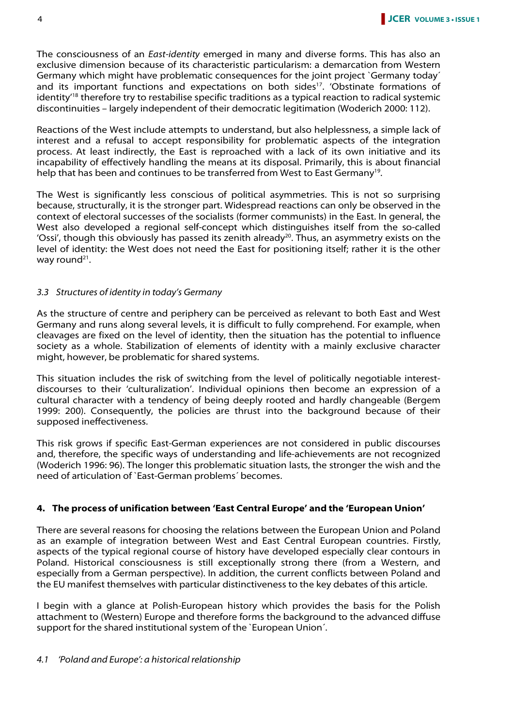The consciousness of an East-identity emerged in many and diverse forms. This has also an exclusive dimension because of its characteristic particularism: a demarcation from Western Germany which might have problematic consequences for the joint project `Germany today´ and its important functions and expectations on both sides<sup>17</sup>. 'Obstinate formations of identity<sup>'18</sup> therefore try to restabilise specific traditions as a typical reaction to radical systemic discontinuities – largely independent of their democratic legitimation (Woderich 2000: 112).

Reactions of the West include attempts to understand, but also helplessness, a simple lack of interest and a refusal to accept responsibility for problematic aspects of the integration process. At least indirectly, the East is reproached with a lack of its own initiative and its incapability of effectively handling the means at its disposal. Primarily, this is about financial help that has been and continues to be transferred from West to East Germany<sup>19</sup>.

The West is significantly less conscious of political asymmetries. This is not so surprising because, structurally, it is the stronger part. Widespread reactions can only be observed in the context of electoral successes of the socialists (former communists) in the East. In general, the West also developed a regional self-concept which distinguishes itself from the so-called 'Ossi', though this obviously has passed its zenith already<sup>20</sup>. Thus, an asymmetry exists on the level of identity: the West does not need the East for positioning itself; rather it is the other way round<sup>21</sup>.

#### 3.3 Structures of identity in today's Germany

As the structure of centre and periphery can be perceived as relevant to both East and West Germany and runs along several levels, it is difficult to fully comprehend. For example, when cleavages are fixed on the level of identity, then the situation has the potential to influence society as a whole. Stabilization of elements of identity with a mainly exclusive character might, however, be problematic for shared systems.

This situation includes the risk of switching from the level of politically negotiable interestdiscourses to their 'culturalization'. Individual opinions then become an expression of a cultural character with a tendency of being deeply rooted and hardly changeable (Bergem 1999: 200). Consequently, the policies are thrust into the background because of their supposed ineffectiveness.

This risk grows if specific East-German experiences are not considered in public discourses and, therefore, the specific ways of understanding and life-achievements are not recognized (Woderich 1996: 96). The longer this problematic situation lasts, the stronger the wish and the need of articulation of `East-German problems´ becomes.

#### **4. The process of unification between 'East Central Europe' and the 'European Union'**

There are several reasons for choosing the relations between the European Union and Poland as an example of integration between West and East Central European countries. Firstly, aspects of the typical regional course of history have developed especially clear contours in Poland. Historical consciousness is still exceptionally strong there (from a Western, and especially from a German perspective). In addition, the current conflicts between Poland and the EU manifest themselves with particular distinctiveness to the key debates of this article.

I begin with a glance at Polish-European history which provides the basis for the Polish attachment to (Western) Europe and therefore forms the background to the advanced diffuse support for the shared institutional system of the `European Union´.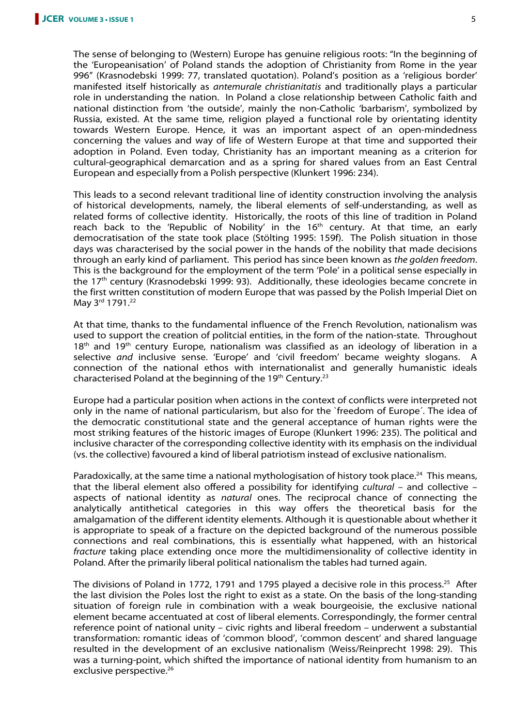The sense of belonging to (Western) Europe has genuine religious roots: "In the beginning of the 'Europeanisation' of Poland stands the adoption of Christianity from Rome in the year 996" (Krasnodebski 1999: 77, translated quotation). Poland's position as a 'religious border' manifested itself historically as antemurale christianitatis and traditionally plays a particular role in understanding the nation. In Poland a close relationship between Catholic faith and national distinction from 'the outside', mainly the non-Catholic 'barbarism', symbolized by Russia, existed. At the same time, religion played a functional role by orientating identity towards Western Europe. Hence, it was an important aspect of an open-mindedness concerning the values and way of life of Western Europe at that time and supported their adoption in Poland. Even today, Christianity has an important meaning as a criterion for cultural-geographical demarcation and as a spring for shared values from an East Central European and especially from a Polish perspective (Klunkert 1996: 234).

This leads to a second relevant traditional line of identity construction involving the analysis of historical developments, namely, the liberal elements of self-understanding, as well as related forms of collective identity. Historically, the roots of this line of tradition in Poland reach back to the 'Republic of Nobility' in the  $16<sup>th</sup>$  century. At that time, an early democratisation of the state took place (Stölting 1995: 159f). The Polish situation in those days was characterised by the social power in the hands of the nobility that made decisions through an early kind of parliament. This period has since been known as the golden freedom. This is the background for the employment of the term 'Pole' in a political sense especially in the 17<sup>th</sup> century (Krasnodebski 1999: 93). Additionally, these ideologies became concrete in the first written constitution of modern Europe that was passed by the Polish Imperial Diet on May 3<sup>rd</sup> 1791.<sup>22</sup>

At that time, thanks to the fundamental influence of the French Revolution, nationalism was used to support the creation of politcial entities, in the form of the nation-state. Throughout  $18<sup>th</sup>$  and  $19<sup>th</sup>$  century Europe, nationalism was classified as an ideology of liberation in a selective and inclusive sense. 'Europe' and 'civil freedom' became weighty slogans. A connection of the national ethos with internationalist and generally humanistic ideals characterised Poland at the beginning of the 19<sup>th</sup> Century.<sup>23</sup>

Europe had a particular position when actions in the context of conflicts were interpreted not only in the name of national particularism, but also for the `freedom of Europe´. The idea of the democratic constitutional state and the general acceptance of human rights were the most striking features of the historic images of Europe (Klunkert 1996: 235). The political and inclusive character of the corresponding collective identity with its emphasis on the individual (vs. the collective) favoured a kind of liberal patriotism instead of exclusive nationalism.

Paradoxically, at the same time a national mythologisation of history took place.<sup>24</sup> This means, that the liberal element also offered a possibility for identifying cultural - and collective aspects of national identity as natural ones. The reciprocal chance of connecting the analytically antithetical categories in this way offers the theoretical basis for the amalgamation of the different identity elements. Although it is questionable about whether it is appropriate to speak of a fracture on the depicted background of the numerous possible connections and real combinations, this is essentially what happened, with an historical fracture taking place extending once more the multidimensionality of collective identity in Poland. After the primarily liberal political nationalism the tables had turned again.

The divisions of Poland in 1772, 1791 and 1795 played a decisive role in this process.<sup>25</sup> After the last division the Poles lost the right to exist as a state. On the basis of the long-standing situation of foreign rule in combination with a weak bourgeoisie, the exclusive national element became accentuated at cost of liberal elements. Correspondingly, the former central reference point of national unity – civic rights and liberal freedom – underwent a substantial transformation: romantic ideas of 'common blood', 'common descent' and shared language resulted in the development of an exclusive nationalism (Weiss/Reinprecht 1998: 29). This was a turning-point, which shifted the importance of national identity from humanism to an exclusive perspective.<sup>26</sup>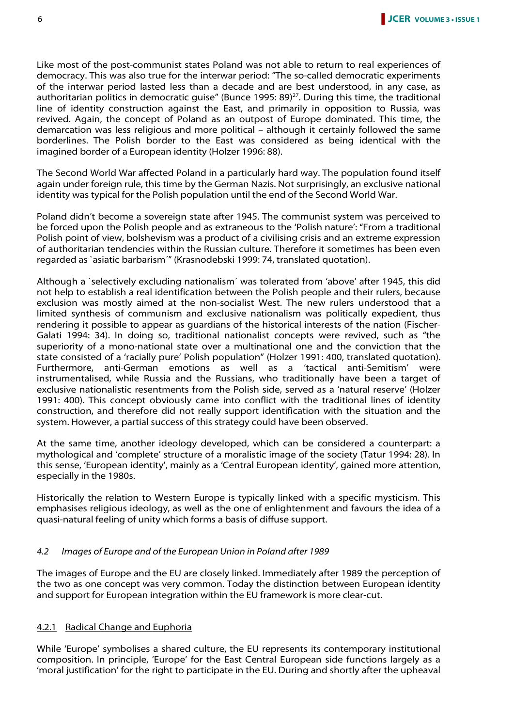Like most of the post-communist states Poland was not able to return to real experiences of democracy. This was also true for the interwar period: "The so-called democratic experiments of the interwar period lasted less than a decade and are best understood, in any case, as authoritarian politics in democratic guise" (Bunce 1995: 89)<sup>27</sup>. During this time, the traditional line of identity construction against the East, and primarily in opposition to Russia, was revived. Again, the concept of Poland as an outpost of Europe dominated. This time, the demarcation was less religious and more political – although it certainly followed the same borderlines. The Polish border to the East was considered as being identical with the imagined border of a European identity (Holzer 1996: 88).

The Second World War affected Poland in a particularly hard way. The population found itself again under foreign rule, this time by the German Nazis. Not surprisingly, an exclusive national identity was typical for the Polish population until the end of the Second World War.

Poland didn't become a sovereign state after 1945. The communist system was perceived to be forced upon the Polish people and as extraneous to the 'Polish nature': "From a traditional Polish point of view, bolshevism was a product of a civilising crisis and an extreme expression of authoritarian tendencies within the Russian culture. Therefore it sometimes has been even regarded as `asiatic barbarism´" (Krasnodebski 1999: 74, translated quotation).

Although a `selectively excluding nationalism´ was tolerated from 'above' after 1945, this did not help to establish a real identification between the Polish people and their rulers, because exclusion was mostly aimed at the non-socialist West. The new rulers understood that a limited synthesis of communism and exclusive nationalism was politically expedient, thus rendering it possible to appear as guardians of the historical interests of the nation (Fischer-Galati 1994: 34). In doing so, traditional nationalist concepts were revived, such as "the superiority of a mono-national state over a multinational one and the conviction that the state consisted of a 'racially pure' Polish population" (Holzer 1991: 400, translated quotation). Furthermore, anti-German emotions as well as a 'tactical anti-Semitism' were instrumentalised, while Russia and the Russians, who traditionally have been a target of exclusive nationalistic resentments from the Polish side, served as a 'natural reserve' (Holzer 1991: 400). This concept obviously came into conflict with the traditional lines of identity construction, and therefore did not really support identification with the situation and the system. However, a partial success of this strategy could have been observed.

At the same time, another ideology developed, which can be considered a counterpart: a mythological and 'complete' structure of a moralistic image of the society (Tatur 1994: 28). In this sense, 'European identity', mainly as a 'Central European identity', gained more attention, especially in the 1980s.

Historically the relation to Western Europe is typically linked with a specific mysticism. This emphasises religious ideology, as well as the one of enlightenment and favours the idea of a quasi-natural feeling of unity which forms a basis of diffuse support.

#### 4.2 Images of Europe and of the European Union in Poland after 1989

The images of Europe and the EU are closely linked. Immediately after 1989 the perception of the two as one concept was very common. Today the distinction between European identity and support for European integration within the EU framework is more clear-cut.

#### 4.2.1 Radical Change and Euphoria

While 'Europe' symbolises a shared culture, the EU represents its contemporary institutional composition. In principle, 'Europe' for the East Central European side functions largely as a 'moral justification' for the right to participate in the EU. During and shortly after the upheaval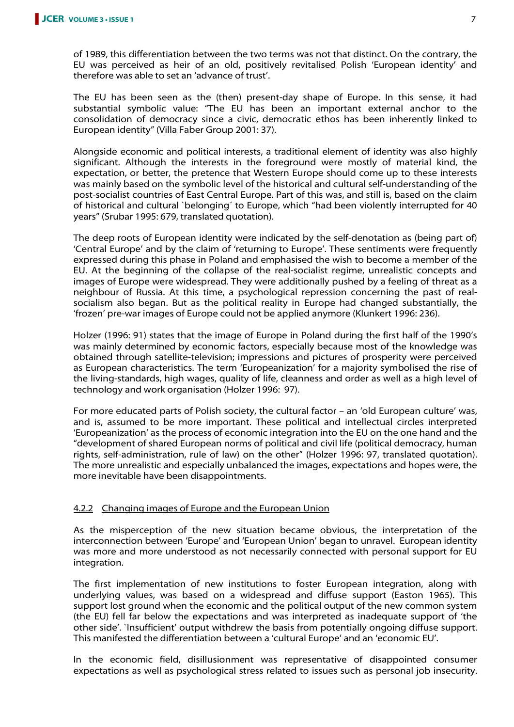of 1989, this differentiation between the two terms was not that distinct. On the contrary, the EU was perceived as heir of an old, positively revitalised Polish 'European identity' and therefore was able to set an 'advance of trust'.

The EU has been seen as the (then) present-day shape of Europe. In this sense, it had substantial symbolic value: "The EU has been an important external anchor to the consolidation of democracy since a civic, democratic ethos has been inherently linked to European identity" (Villa Faber Group 2001: 37).

Alongside economic and political interests, a traditional element of identity was also highly significant. Although the interests in the foreground were mostly of material kind, the expectation, or better, the pretence that Western Europe should come up to these interests was mainly based on the symbolic level of the historical and cultural self-understanding of the post-socialist countries of East Central Europe. Part of this was, and still is, based on the claim of historical and cultural `belonging´ to Europe, which "had been violently interrupted for 40 years" (Srubar 1995: 679, translated quotation).

The deep roots of European identity were indicated by the self-denotation as (being part of) 'Central Europe' and by the claim of 'returning to Europe'. These sentiments were frequently expressed during this phase in Poland and emphasised the wish to become a member of the EU. At the beginning of the collapse of the real-socialist regime, unrealistic concepts and images of Europe were widespread. They were additionally pushed by a feeling of threat as a neighbour of Russia. At this time, a psychological repression concerning the past of realsocialism also began. But as the political reality in Europe had changed substantially, the 'frozen' pre-war images of Europe could not be applied anymore (Klunkert 1996: 236).

Holzer (1996: 91) states that the image of Europe in Poland during the first half of the 1990's was mainly determined by economic factors, especially because most of the knowledge was obtained through satellite-television; impressions and pictures of prosperity were perceived as European characteristics. The term 'Europeanization' for a majority symbolised the rise of the living-standards, high wages, quality of life, cleanness and order as well as a high level of technology and work organisation (Holzer 1996: 97).

For more educated parts of Polish society, the cultural factor – an 'old European culture' was, and is, assumed to be more important. These political and intellectual circles interpreted 'Europeanization' as the process of economic integration into the EU on the one hand and the "development of shared European norms of political and civil life (political democracy, human rights, self-administration, rule of law) on the other" (Holzer 1996: 97, translated quotation). The more unrealistic and especially unbalanced the images, expectations and hopes were, the more inevitable have been disappointments.

# 4.2.2 Changing images of Europe and the European Union

As the misperception of the new situation became obvious, the interpretation of the interconnection between 'Europe' and 'European Union' began to unravel. European identity was more and more understood as not necessarily connected with personal support for EU integration.

The first implementation of new institutions to foster European integration, along with underlying values, was based on a widespread and diffuse support (Easton 1965). This support lost ground when the economic and the political output of the new common system (the EU) fell far below the expectations and was interpreted as inadequate support of 'the other side'. `Insufficient' output withdrew the basis from potentially ongoing diffuse support. This manifested the differentiation between a 'cultural Europe' and an 'economic EU'.

In the economic field, disillusionment was representative of disappointed consumer expectations as well as psychological stress related to issues such as personal job insecurity.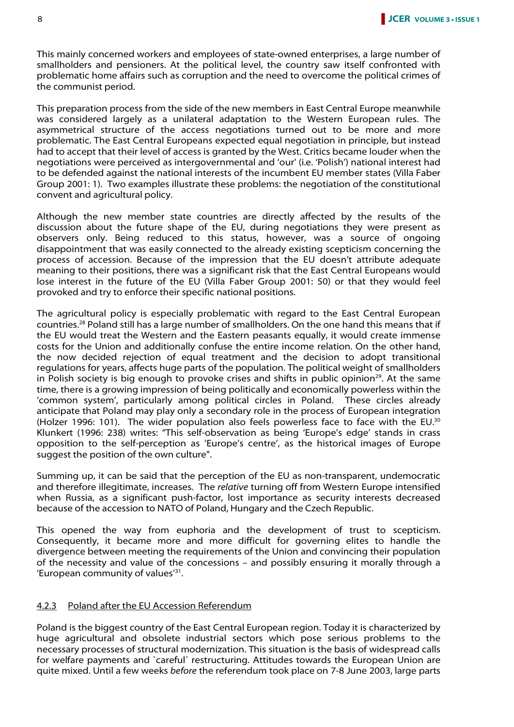This mainly concerned workers and employees of state-owned enterprises, a large number of smallholders and pensioners. At the political level, the country saw itself confronted with problematic home affairs such as corruption and the need to overcome the political crimes of the communist period.

This preparation process from the side of the new members in East Central Europe meanwhile was considered largely as a unilateral adaptation to the Western European rules. The asymmetrical structure of the access negotiations turned out to be more and more problematic. The East Central Europeans expected equal negotiation in principle, but instead had to accept that their level of access is granted by the West. Critics became louder when the negotiations were perceived as intergovernmental and 'our' (i.e. 'Polish') national interest had to be defended against the national interests of the incumbent EU member states (Villa Faber Group 2001: 1). Two examples illustrate these problems: the negotiation of the constitutional convent and agricultural policy.

Although the new member state countries are directly affected by the results of the discussion about the future shape of the EU, during negotiations they were present as observers only. Being reduced to this status, however, was a source of ongoing disappointment that was easily connected to the already existing scepticism concerning the process of accession. Because of the impression that the EU doesn't attribute adequate meaning to their positions, there was a significant risk that the East Central Europeans would lose interest in the future of the EU (Villa Faber Group 2001: 50) or that they would feel provoked and try to enforce their specific national positions.

The agricultural policy is especially problematic with regard to the East Central European countries.<sup>28</sup> Poland still has a large number of smallholders. On the one hand this means that if the EU would treat the Western and the Eastern peasants equally, it would create immense costs for the Union and additionally confuse the entire income relation. On the other hand, the now decided rejection of equal treatment and the decision to adopt transitional regulations for years, affects huge parts of the population. The political weight of smallholders in Polish society is big enough to provoke crises and shifts in public opinion<sup>29</sup>. At the same time, there is a growing impression of being politically and economically powerless within the 'common system', particularly among political circles in Poland. These circles already anticipate that Poland may play only a secondary role in the process of European integration (Holzer 1996: 101). The wider population also feels powerless face to face with the EU.<sup>30</sup> Klunkert (1996: 238) writes: "This self-observation as being 'Europe's edge' stands in crass opposition to the self-perception as 'Europe's centre', as the historical images of Europe suggest the position of the own culture".

Summing up, it can be said that the perception of the EU as non-transparent, undemocratic and therefore illegitimate, increases. The relative turning off from Western Europe intensified when Russia, as a significant push-factor, lost importance as security interests decreased because of the accession to NATO of Poland, Hungary and the Czech Republic.

This opened the way from euphoria and the development of trust to scepticism. Consequently, it became more and more difficult for governing elites to handle the divergence between meeting the requirements of the Union and convincing their population of the necessity and value of the concessions – and possibly ensuring it morally through a 'European community of values<sup>'31</sup>.

#### 4.2.3 Poland after the EU Accession Referendum

Poland is the biggest country of the East Central European region. Today it is characterized by huge agricultural and obsolete industrial sectors which pose serious problems to the necessary processes of structural modernization. This situation is the basis of widespread calls for welfare payments and `careful´ restructuring. Attitudes towards the European Union are quite mixed. Until a few weeks before the referendum took place on 7-8 June 2003, large parts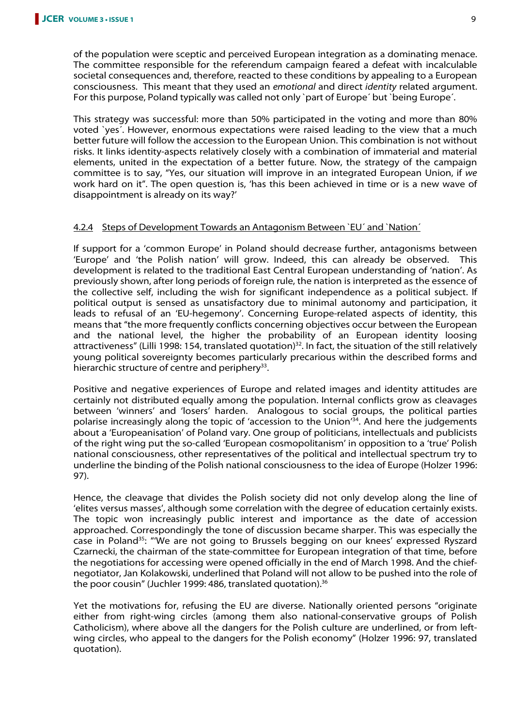of the population were sceptic and perceived European integration as a dominating menace. The committee responsible for the referendum campaign feared a defeat with incalculable societal consequences and, therefore, reacted to these conditions by appealing to a European consciousness. This meant that they used an emotional and direct identity related argument. For this purpose, Poland typically was called not only `part of Europe´ but `being Europe´.

This strategy was successful: more than 50% participated in the voting and more than 80% voted `yes´. However, enormous expectations were raised leading to the view that a much better future will follow the accession to the European Union. This combination is not without risks. It links identity-aspects relatively closely with a combination of immaterial and material elements, united in the expectation of a better future. Now, the strategy of the campaign committee is to say, "Yes, our situation will improve in an integrated European Union, if we work hard on it". The open question is, 'has this been achieved in time or is a new wave of disappointment is already on its way?'

# 4.2.4 Steps of Development Towards an Antagonism Between `EU´ and `Nation´

If support for a 'common Europe' in Poland should decrease further, antagonisms between 'Europe' and 'the Polish nation' will grow. Indeed, this can already be observed. This development is related to the traditional East Central European understanding of 'nation'. As previously shown, after long periods of foreign rule, the nation is interpreted as the essence of the collective self, including the wish for significant independence as a political subject. If political output is sensed as unsatisfactory due to minimal autonomy and participation, it leads to refusal of an 'EU-hegemony'. Concerning Europe-related aspects of identity, this means that "the more frequently conflicts concerning objectives occur between the European and the national level, the higher the probability of an European identity loosing attractiveness" (Lilli 1998: 154, translated quotation)<sup>32</sup>. In fact, the situation of the still relatively young political sovereignty becomes particularly precarious within the described forms and hierarchic structure of centre and periphery<sup>33</sup>.

Positive and negative experiences of Europe and related images and identity attitudes are certainly not distributed equally among the population. Internal conflicts grow as cleavages between 'winners' and 'losers' harden. Analogous to social groups, the political parties polarise increasingly along the topic of 'accession to the Union'<sup>34</sup>. And here the judgements about a 'Europeanisation' of Poland vary. One group of politicians, intellectuals and publicists of the right wing put the so-called 'European cosmopolitanism' in opposition to a 'true' Polish national consciousness, other representatives of the political and intellectual spectrum try to underline the binding of the Polish national consciousness to the idea of Europe (Holzer 1996: 97).

Hence, the cleavage that divides the Polish society did not only develop along the line of 'elites versus masses', although some correlation with the degree of education certainly exists. The topic won increasingly public interest and importance as the date of accession approached. Correspondingly the tone of discussion became sharper. This was especially the case in Poland<sup>35</sup>: "We are not going to Brussels begging on our knees' expressed Ryszard Czarnecki, the chairman of the state-committee for European integration of that time, before the negotiations for accessing were opened officially in the end of March 1998. And the chiefnegotiator, Jan Kolakowski, underlined that Poland will not allow to be pushed into the role of the poor cousin" (Juchler 1999: 486, translated quotation).<sup>36</sup>

Yet the motivations for, refusing the EU are diverse. Nationally oriented persons "originate either from right-wing circles (among them also national-conservative groups of Polish Catholicism), where above all the dangers for the Polish culture are underlined, or from leftwing circles, who appeal to the dangers for the Polish economy" (Holzer 1996: 97, translated quotation).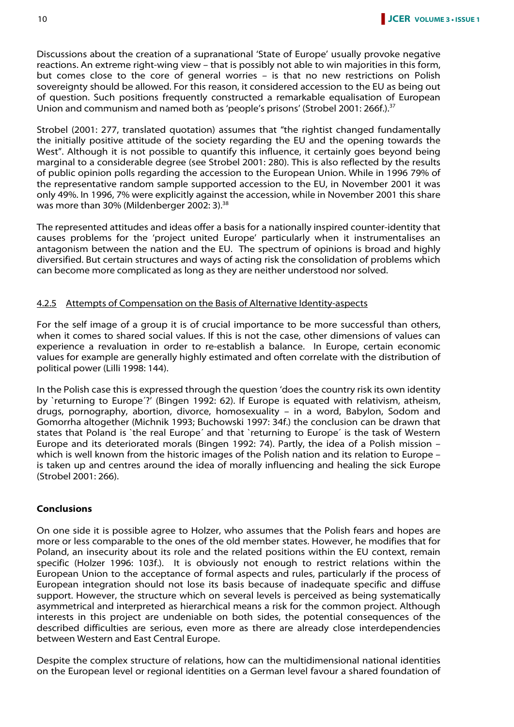Discussions about the creation of a supranational 'State of Europe' usually provoke negative reactions. An extreme right-wing view – that is possibly not able to win majorities in this form, but comes close to the core of general worries – is that no new restrictions on Polish sovereignty should be allowed. For this reason, it considered accession to the EU as being out of question. Such positions frequently constructed a remarkable equalisation of European Union and communism and named both as 'people's prisons' (Strobel 2001: 266f.).<sup>37</sup>

Strobel (2001: 277, translated quotation) assumes that "the rightist changed fundamentally the initially positive attitude of the society regarding the EU and the opening towards the West". Although it is not possible to quantify this influence, it certainly goes beyond being marginal to a considerable degree (see Strobel 2001: 280). This is also reflected by the results of public opinion polls regarding the accession to the European Union. While in 1996 79% of the representative random sample supported accession to the EU, in November 2001 it was only 49%. In 1996, 7% were explicitly against the accession, while in November 2001 this share was more than 30% (Mildenberger 2002: 3).<sup>38</sup>

The represented attitudes and ideas offer a basis for a nationally inspired counter-identity that causes problems for the 'project united Europe' particularly when it instrumentalises an antagonism between the nation and the EU. The spectrum of opinions is broad and highly diversified. But certain structures and ways of acting risk the consolidation of problems which can become more complicated as long as they are neither understood nor solved.

#### 4.2.5 Attempts of Compensation on the Basis of Alternative Identity-aspects

For the self image of a group it is of crucial importance to be more successful than others, when it comes to shared social values. If this is not the case, other dimensions of values can experience a revaluation in order to re-establish a balance. In Europe, certain economic values for example are generally highly estimated and often correlate with the distribution of political power (Lilli 1998: 144).

In the Polish case this is expressed through the question 'does the country risk its own identity by `returning to Europe´?' (Bingen 1992: 62). If Europe is equated with relativism, atheism, drugs, pornography, abortion, divorce, homosexuality – in a word, Babylon, Sodom and Gomorrha altogether (Michnik 1993; Buchowski 1997: 34f.) the conclusion can be drawn that states that Poland is `the real Europe´ and that `returning to Europe´ is the task of Western Europe and its deteriorated morals (Bingen 1992: 74). Partly, the idea of a Polish mission – which is well known from the historic images of the Polish nation and its relation to Europe – is taken up and centres around the idea of morally influencing and healing the sick Europe (Strobel 2001: 266).

#### **Conclusions**

On one side it is possible agree to Holzer, who assumes that the Polish fears and hopes are more or less comparable to the ones of the old member states. However, he modifies that for Poland, an insecurity about its role and the related positions within the EU context, remain specific (Holzer 1996: 103f.). It is obviously not enough to restrict relations within the European Union to the acceptance of formal aspects and rules, particularly if the process of European integration should not lose its basis because of inadequate specific and diffuse support. However, the structure which on several levels is perceived as being systematically asymmetrical and interpreted as hierarchical means a risk for the common project. Although interests in this project are undeniable on both sides, the potential consequences of the described difficulties are serious, even more as there are already close interdependencies between Western and East Central Europe.

Despite the complex structure of relations, how can the multidimensional national identities on the European level or regional identities on a German level favour a shared foundation of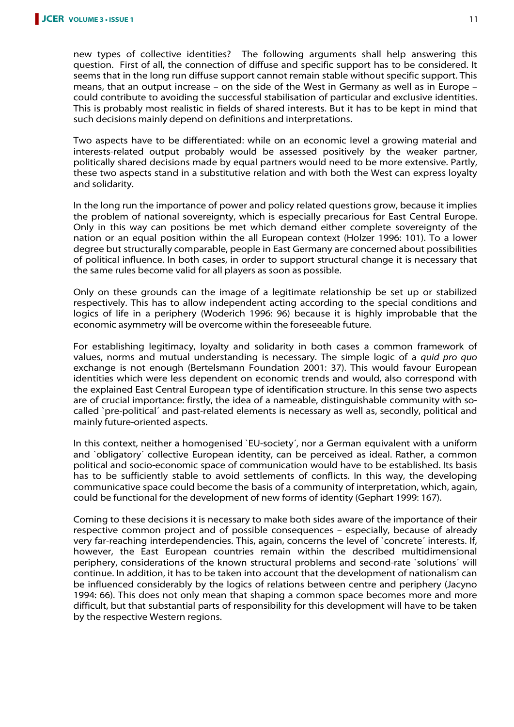new types of collective identities? The following arguments shall help answering this question. First of all, the connection of diffuse and specific support has to be considered. It seems that in the long run diffuse support cannot remain stable without specific support. This means, that an output increase – on the side of the West in Germany as well as in Europe – could contribute to avoiding the successful stabilisation of particular and exclusive identities. This is probably most realistic in fields of shared interests. But it has to be kept in mind that such decisions mainly depend on definitions and interpretations.

Two aspects have to be differentiated: while on an economic level a growing material and interests-related output probably would be assessed positively by the weaker partner, politically shared decisions made by equal partners would need to be more extensive. Partly, these two aspects stand in a substitutive relation and with both the West can express loyalty and solidarity.

In the long run the importance of power and policy related questions grow, because it implies the problem of national sovereignty, which is especially precarious for East Central Europe. Only in this way can positions be met which demand either complete sovereignty of the nation or an equal position within the all European context (Holzer 1996: 101). To a lower degree but structurally comparable, people in East Germany are concerned about possibilities of political influence. In both cases, in order to support structural change it is necessary that the same rules become valid for all players as soon as possible.

Only on these grounds can the image of a legitimate relationship be set up or stabilized respectively. This has to allow independent acting according to the special conditions and logics of life in a periphery (Woderich 1996: 96) because it is highly improbable that the economic asymmetry will be overcome within the foreseeable future.

For establishing legitimacy, loyalty and solidarity in both cases a common framework of values, norms and mutual understanding is necessary. The simple logic of a *quid pro quo* exchange is not enough (Bertelsmann Foundation 2001: 37). This would favour European identities which were less dependent on economic trends and would, also correspond with the explained East Central European type of identification structure. In this sense two aspects are of crucial importance: firstly, the idea of a nameable, distinguishable community with socalled `pre-political´ and past-related elements is necessary as well as, secondly, political and mainly future-oriented aspects.

In this context, neither a homogenised `EU-society´, nor a German equivalent with a uniform and `obligatory´ collective European identity, can be perceived as ideal. Rather, a common political and socio-economic space of communication would have to be established. Its basis has to be sufficiently stable to avoid settlements of conflicts. In this way, the developing communicative space could become the basis of a community of interpretation, which, again, could be functional for the development of new forms of identity (Gephart 1999: 167).

Coming to these decisions it is necessary to make both sides aware of the importance of their respective common project and of possible consequences – especially, because of already very far-reaching interdependencies. This, again, concerns the level of `concrete´ interests. If, however, the East European countries remain within the described multidimensional periphery, considerations of the known structural problems and second-rate `solutions´ will continue. In addition, it has to be taken into account that the development of nationalism can be influenced considerably by the logics of relations between centre and periphery (Jacyno 1994: 66). This does not only mean that shaping a common space becomes more and more difficult, but that substantial parts of responsibility for this development will have to be taken by the respective Western regions.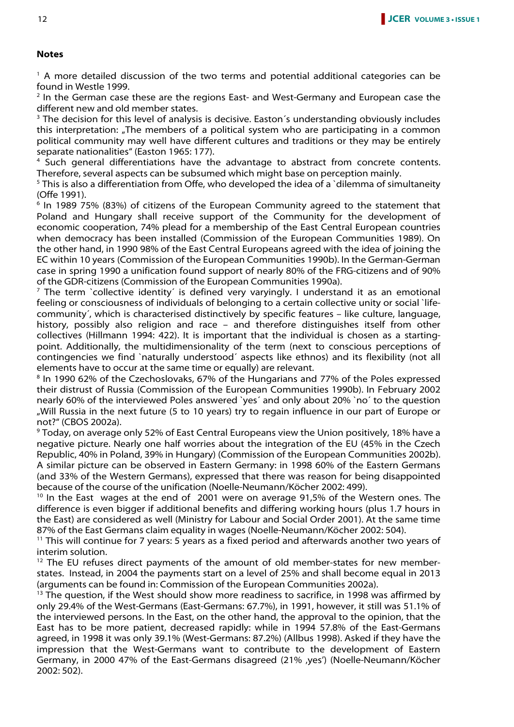#### **Notes**

<sup>1</sup> A more detailed discussion of the two terms and potential additional categories can be found in Westle 1999.

<sup>2</sup> In the German case these are the regions East- and West-Germany and European case the different new and old member states.

<sup>3</sup> The decision for this level of analysis is decisive. Easton's understanding obviously includes this interpretation: "The members of a political system who are participating in a common political community may well have different cultures and traditions or they may be entirely separate nationalities" (Easton 1965: 177).

<sup>4</sup> Such general differentiations have the advantage to abstract from concrete contents. Therefore, several aspects can be subsumed which might base on perception mainly.

<sup>5</sup> This is also a differentiation from Offe, who developed the idea of a `dilemma of simultaneity (Offe 1991).

<sup>6</sup> In 1989 75% (83%) of citizens of the European Community agreed to the statement that Poland and Hungary shall receive support of the Community for the development of economic cooperation, 74% plead for a membership of the East Central European countries when democracy has been installed (Commission of the European Communities 1989). On the other hand, in 1990 98% of the East Central Europeans agreed with the idea of joining the EC within 10 years (Commission of the European Communities 1990b). In the German-German case in spring 1990 a unification found support of nearly 80% of the FRG-citizens and of 90% of the GDR-citizens (Commission of the European Communities 1990a).

 $<sup>7</sup>$  The term `collective identity´ is defined very varyingly. I understand it as an emotional</sup> feeling or consciousness of individuals of belonging to a certain collective unity or social `lifecommunity´, which is characterised distinctively by specific features – like culture, language, history, possibly also religion and race – and therefore distinguishes itself from other collectives (Hillmann 1994: 422). It is important that the individual is chosen as a startingpoint. Additionally, the multidimensionality of the term (next to conscious perceptions of contingencies we find `naturally understood´ aspects like ethnos) and its flexibility (not all elements have to occur at the same time or equally) are relevant.

<sup>8</sup> In 1990 62% of the Czechoslovaks, 67% of the Hungarians and 77% of the Poles expressed their distrust of Russia (Commission of the European Communities 1990b). In February 2002 nearly 60% of the interviewed Poles answered `yes´ and only about 20% `no´ to the question "Will Russia in the next future (5 to 10 years) try to regain influence in our part of Europe or not?" (CBOS 2002a).

9 Today, on average only 52% of East Central Europeans view the Union positively, 18% have a negative picture. Nearly one half worries about the integration of the EU (45% in the Czech Republic, 40% in Poland, 39% in Hungary) (Commission of the European Communities 2002b). A similar picture can be observed in Eastern Germany: in 1998 60% of the Eastern Germans (and 33% of the Western Germans), expressed that there was reason for being disappointed because of the course of the unification (Noelle-Neumann/Köcher 2002: 499).

 $10$  In the East wages at the end of 2001 were on average 91,5% of the Western ones. The difference is even bigger if additional benefits and differing working hours (plus 1.7 hours in the East) are considered as well (Ministry for Labour and Social Order 2001). At the same time 87% of the East Germans claim equality in wages (Noelle-Neumann/Köcher 2002: 504).

<sup>11</sup> This will continue for 7 years: 5 years as a fixed period and afterwards another two years of interim solution.

 $12$  The EU refuses direct payments of the amount of old member-states for new memberstates. Instead, in 2004 the payments start on a level of 25% and shall become equal in 2013 (arguments can be found in: Commission of the European Communities 2002a).

 $13$  The question, if the West should show more readiness to sacrifice, in 1998 was affirmed by only 29.4% of the West-Germans (East-Germans: 67.7%), in 1991, however, it still was 51.1% of the interviewed persons. In the East, on the other hand, the approval to the opinion, that the East has to be more patient, decreased rapidly: while in 1994 57.8% of the East-Germans agreed, in 1998 it was only 39.1% (West-Germans: 87.2%) (Allbus 1998). Asked if they have the impression that the West-Germans want to contribute to the development of Eastern Germany, in 2000 47% of the East-Germans disagreed (21% , yes') (Noelle-Neumann/Köcher 2002: 502).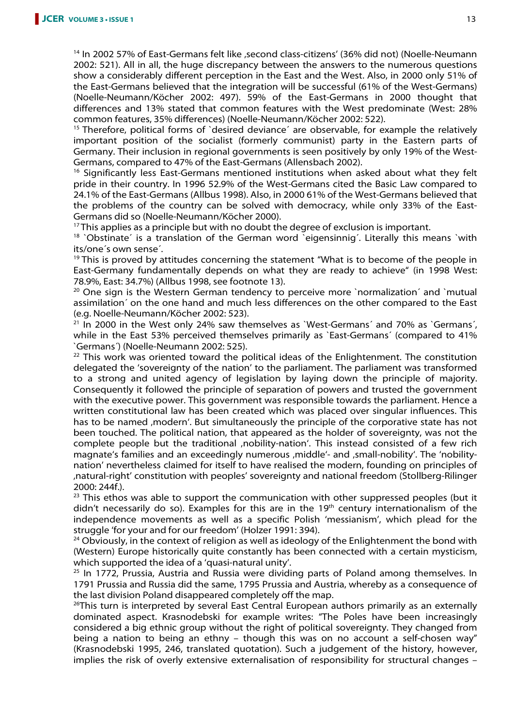<sup>14</sup> In 2002 57% of East-Germans felt like , second class-citizens' (36% did not) (Noelle-Neumann 2002: 521). All in all, the huge discrepancy between the answers to the numerous questions show a considerably different perception in the East and the West. Also, in 2000 only 51% of the East-Germans believed that the integration will be successful (61% of the West-Germans) (Noelle-Neumann/Köcher 2002: 497). 59% of the East-Germans in 2000 thought that differences and 13% stated that common features with the West predominate (West: 28% common features, 35% differences) (Noelle-Neumann/Köcher 2002: 522).

<sup>15</sup> Therefore, political forms of `desired deviance´ are observable, for example the relatively important position of the socialist (formerly communist) party in the Eastern parts of Germany. Their inclusion in regional governments is seen positively by only 19% of the West-Germans, compared to 47% of the East-Germans (Allensbach 2002).

<sup>16</sup> Significantly less East-Germans mentioned institutions when asked about what they felt pride in their country. In 1996 52.9% of the West-Germans cited the Basic Law compared to 24.1% of the East-Germans (Allbus 1998). Also, in 2000 61% of the West-Germans believed that the problems of the country can be solved with democracy, while only 33% of the East-Germans did so (Noelle-Neumann/Köcher 2000).

 $17$ This applies as a principle but with no doubt the degree of exclusion is important.

<sup>18</sup> `Obstinate' is a translation of the German word `eigensinnig'. Literally this means `with its/one´s own sense´.

 $19$ This is proved by attitudes concerning the statement "What is to become of the people in East-Germany fundamentally depends on what they are ready to achieve" (in 1998 West: 78.9%, East: 34.7%) (Allbus 1998, see footnote 13).

<sup>20</sup> One sign is the Western German tendency to perceive more `normalization´ and `mutual assimilation´ on the one hand and much less differences on the other compared to the East (e.g. Noelle-Neumann/Köcher 2002: 523).

 $21$  In 2000 in the West only 24% saw themselves as `West-Germans´ and 70% as `Germans´, while in the East 53% perceived themselves primarily as `East-Germans´ (compared to 41% `Germans´) (Noelle-Neumann 2002: 525).

 $22$  This work was oriented toward the political ideas of the Enlightenment. The constitution delegated the 'sovereignty of the nation' to the parliament. The parliament was transformed to a strong and united agency of legislation by laying down the principle of majority. Consequently it followed the principle of separation of powers and trusted the government with the executive power. This government was responsible towards the parliament. Hence a written constitutional law has been created which was placed over singular influences. This has to be named , modern'. But simultaneously the principle of the corporative state has not been touched. The political nation, that appeared as the holder of sovereignty, was not the complete people but the traditional 'nobility-nation'. This instead consisted of a few rich magnate's families and an exceedingly numerous , middle'- and , small-nobility'. The 'nobilitynation' nevertheless claimed for itself to have realised the modern, founding on principles of 'natural-right' constitution with peoples' sovereignty and national freedom (Stollberg-Rilinger 2000: 244f.).

<sup>23</sup> This ethos was able to support the communication with other suppressed peoples (but it didn't necessarily do so). Examples for this are in the 19<sup>th</sup> century internationalism of the independence movements as well as a specific Polish 'messianism', which plead for the struggle 'for your and for our freedom' (Holzer 1991: 394).

 $24$  Obviously, in the context of religion as well as ideology of the Enlightenment the bond with (Western) Europe historically quite constantly has been connected with a certain mysticism, which supported the idea of a 'quasi-natural unity'.

<sup>25</sup> In 1772, Prussia, Austria and Russia were dividing parts of Poland among themselves. In 1791 Prussia and Russia did the same, 1795 Prussia and Austria, whereby as a consequence of the last division Poland disappeared completely off the map.

<sup>26</sup>This turn is interpreted by several East Central European authors primarily as an externally dominated aspect. Krasnodebski for example writes: "The Poles have been increasingly considered a big ethnic group without the right of political sovereignty. They changed from being a nation to being an ethny – though this was on no account a self-chosen way" (Krasnodebski 1995, 246, translated quotation). Such a judgement of the history, however, implies the risk of overly extensive externalisation of responsibility for structural changes –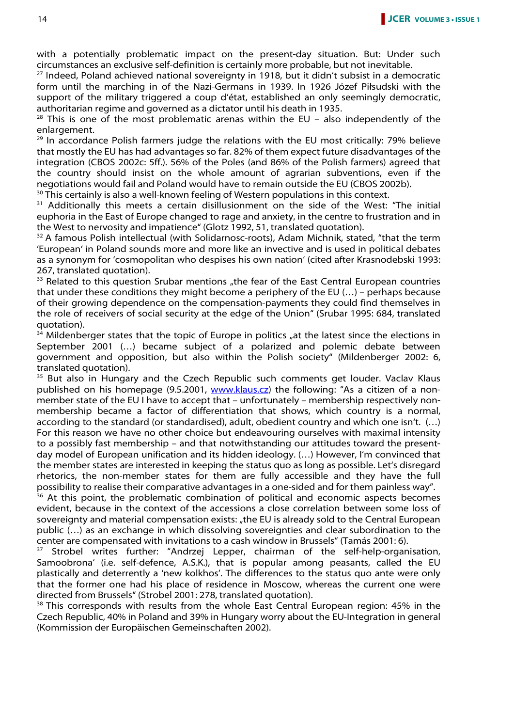with a potentially problematic impact on the present-day situation. But: Under such circumstances an exclusive self-definition is certainly more probable, but not inevitable.

 $27$  Indeed, Poland achieved national sovereignty in 1918, but it didn't subsist in a democratic form until the marching in of the Nazi-Germans in 1939. In 1926 Józef Piłsudski with the support of the military triggered a coup d'état, established an only seemingly democratic, authoritarian regime and governed as a dictator until his death in 1935.

 $28$  This is one of the most problematic arenas within the EU – also independently of the enlargement.

 $29$  In accordance Polish farmers judge the relations with the EU most critically: 79% believe that mostly the EU has had advantages so far. 82% of them expect future disadvantages of the integration (CBOS 2002c: 5ff.). 56% of the Poles (and 86% of the Polish farmers) agreed that the country should insist on the whole amount of agrarian subventions, even if the negotiations would fail and Poland would have to remain outside the EU (CBOS 2002b).

<sup>30</sup> This certainly is also a well-known feeling of Western populations in this context.

<sup>31</sup> Additionally this meets a certain disillusionment on the side of the West: "The initial euphoria in the East of Europe changed to rage and anxiety, in the centre to frustration and in the West to nervosity and impatience" (Glotz 1992, 51, translated quotation).

 $32$  A famous Polish intellectual (with Solidarnosc-roots), Adam Michnik, stated, "that the term 'European' in Poland sounds more and more like an invective and is used in political debates as a synonym for 'cosmopolitan who despises his own nation' (cited after Krasnodebski 1993: 267, translated quotation).

<sup>33</sup> Related to this question Srubar mentions "the fear of the East Central European countries that under these conditions they might become a periphery of the EU (…) – perhaps because of their growing dependence on the compensation-payments they could find themselves in the role of receivers of social security at the edge of the Union" (Srubar 1995: 684, translated quotation).

 $34$  Mildenberger states that the topic of Europe in politics  $n$  at the latest since the elections in September 2001 (…) became subject of a polarized and polemic debate between government and opposition, but also within the Polish society" (Mildenberger 2002: 6, translated quotation).

<sup>35</sup> But also in Hungary and the Czech Republic such comments get louder. Vaclav Klaus published on his homepage (9.5.2001, www.klaus.cz) the following: "As a citizen of a nonmember state of the EU I have to accept that – unfortunately – membership respectively nonmembership became a factor of differentiation that shows, which country is a normal, according to the standard (or standardised), adult, obedient country and which one isn't. (…) For this reason we have no other choice but endeavouring ourselves with maximal intensity to a possibly fast membership – and that notwithstanding our attitudes toward the presentday model of European unification and its hidden ideology. (…) However, I'm convinced that the member states are interested in keeping the status quo as long as possible. Let's disregard rhetorics, the non-member states for them are fully accessible and they have the full possibility to realise their comparative advantages in a one-sided and for them painless way".

<sup>36</sup> At this point, the problematic combination of political and economic aspects becomes evident, because in the context of the accessions a close correlation between some loss of sovereignty and material compensation exists: "the EU is already sold to the Central European public (…) as an exchange in which dissolving sovereignties and clear subordination to the center are compensated with invitations to a cash window in Brussels" (Tamás 2001: 6).

<sup>37</sup> Strobel writes further: "Andrzej Lepper, chairman of the self-help-organisation, Samoobrona' (i.e. self-defence, A.S.K.), that is popular among peasants, called the EU plastically and deterrently a 'new kolkhos'. The differences to the status quo ante were only that the former one had his place of residence in Moscow, whereas the current one were directed from Brussels" (Strobel 2001: 278, translated quotation).

<sup>38</sup> This corresponds with results from the whole East Central European region: 45% in the Czech Republic, 40% in Poland and 39% in Hungary worry about the EU-Integration in general (Kommission der Europäischen Gemeinschaften 2002).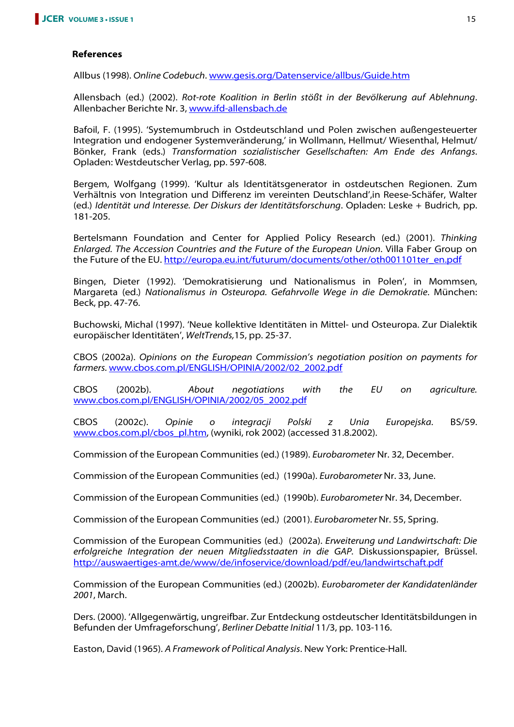#### **References**

Allbus (1998). Online Codebuch. www.gesis.org/Datenservice/allbus/Guide.htm

Allensbach (ed.) (2002). Rot-rote Koalition in Berlin stößt in der Bevölkerung auf Ablehnung. Allenbacher Berichte Nr. 3, www.ifd-allensbach.de

Bafoil, F. (1995). 'Systemumbruch in Ostdeutschland und Polen zwischen außengesteuerter Integration und endogener Systemveränderung,' in Wollmann, Hellmut/ Wiesenthal, Helmut/ Bönker, Frank (eds.) Transformation sozialistischer Gesellschaften: Am Ende des Anfangs. Opladen: Westdeutscher Verlag, pp. 597-608.

Bergem, Wolfgang (1999). 'Kultur als Identitätsgenerator in ostdeutschen Regionen. Zum Verhältnis von Integration und Differenz im vereinten Deutschland',in Reese-Schäfer, Walter (ed.) Identität und Interesse. Der Diskurs der Identitätsforschung. Opladen: Leske + Budrich, pp. 181-205.

Bertelsmann Foundation and Center for Applied Policy Research (ed.) (2001). Thinking Enlarged. The Accession Countries and the Future of the European Union. Villa Faber Group on the Future of the EU. http://europa.eu.int/futurum/documents/other/oth001101ter\_en.pdf

Bingen, Dieter (1992). 'Demokratisierung und Nationalismus in Polen', in Mommsen, Margareta (ed.) Nationalismus in Osteuropa. Gefahrvolle Wege in die Demokratie. München: Beck, pp. 47-76.

Buchowski, Michal (1997). 'Neue kollektive Identitäten in Mittel- und Osteuropa. Zur Dialektik europäischer Identitäten', WeltTrends,15, pp. 25-37.

CBOS (2002a). Opinions on the European Commission's negotiation position on payments for farmers. www.cbos.com.pl/ENGLISH/OPINIA/2002/02\_2002.pdf

CBOS (2002b). About negotiations with the EU on agriculture. www.cbos.com.pl/ENGLISH/OPINIA/2002/05\_2002.pdf

CBOS (2002c). Opinie o integracji Polski z Unia Europejska. BS/59. www.cbos.com.pl/cbos\_pl.htm, (wyniki, rok 2002) (accessed 31.8.2002).

Commission of the European Communities (ed.) (1989). Eurobarometer Nr. 32, December.

Commission of the European Communities (ed.) (1990a). Eurobarometer Nr. 33, June.

Commission of the European Communities (ed.) (1990b). Eurobarometer Nr. 34, December.

Commission of the European Communities (ed.) (2001). Eurobarometer Nr. 55, Spring.

Commission of the European Communities (ed.) (2002a). Erweiterung und Landwirtschaft: Die erfolgreiche Integration der neuen Mitgliedsstaaten in die GAP. Diskussionspapier, Brüssel. http://auswaertiges-amt.de/www/de/infoservice/download/pdf/eu/landwirtschaft.pdf

Commission of the European Communities (ed.) (2002b). Eurobarometer der Kandidatenländer 2001, March.

Ders. (2000). 'Allgegenwärtig, ungreifbar. Zur Entdeckung ostdeutscher Identitätsbildungen in Befunden der Umfrageforschung', Berliner Debatte Initial 11/3, pp. 103-116.

Easton, David (1965). A Framework of Political Analysis. New York: Prentice-Hall.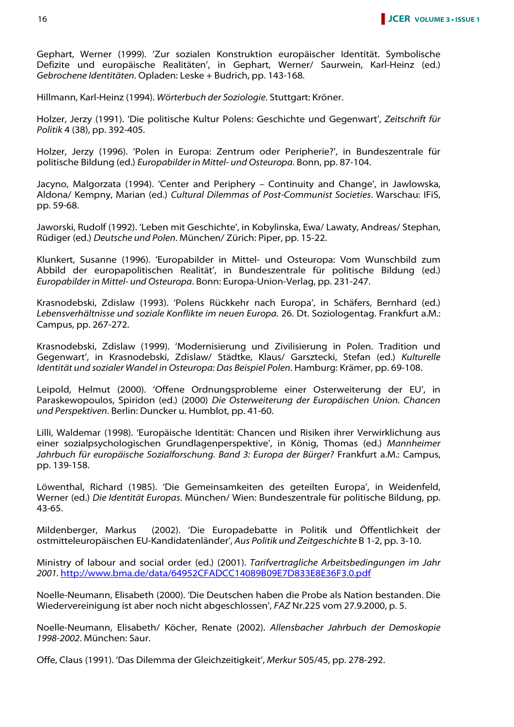Gephart, Werner (1999). 'Zur sozialen Konstruktion europäischer Identität. Symbolische Defizite und europäische Realitäten', in Gephart, Werner/ Saurwein, Karl-Heinz (ed.) Gebrochene Identitäten. Opladen: Leske + Budrich, pp. 143-168.

Hillmann, Karl-Heinz (1994). Wörterbuch der Soziologie. Stuttgart: Kröner.

Holzer, Jerzy (1991). 'Die politische Kultur Polens: Geschichte und Gegenwart', Zeitschrift für Politik 4 (38), pp. 392-405.

Holzer, Jerzy (1996). 'Polen in Europa: Zentrum oder Peripherie?', in Bundeszentrale für politische Bildung (ed.) Europabilder in Mittel- und Osteuropa. Bonn, pp. 87-104.

Jacyno, Malgorzata (1994). 'Center and Periphery – Continuity and Change', in Jawlowska, Aldona/ Kempny, Marian (ed.) Cultural Dilemmas of Post-Communist Societies. Warschau: IFiS, pp. 59-68.

Jaworski, Rudolf (1992). 'Leben mit Geschichte', in Kobylinska, Ewa/ Lawaty, Andreas/ Stephan, Rüdiger (ed.) Deutsche und Polen. München/ Zürich: Piper, pp. 15-22.

Klunkert, Susanne (1996). 'Europabilder in Mittel- und Osteuropa: Vom Wunschbild zum Abbild der europapolitischen Realität', in Bundeszentrale für politische Bildung (ed.) Europabilder in Mittel- und Osteuropa. Bonn: Europa-Union-Verlag, pp. 231-247.

Krasnodebski, Zdislaw (1993). 'Polens Rückkehr nach Europa', in Schäfers, Bernhard (ed.) Lebensverhältnisse und soziale Konflikte im neuen Europa. 26. Dt. Soziologentag. Frankfurt a.M.: Campus, pp. 267-272.

Krasnodebski, Zdislaw (1999). 'Modernisierung und Zivilisierung in Polen. Tradition und Gegenwart', in Krasnodebski, Zdislaw/ Städtke, Klaus/ Garsztecki, Stefan (ed.) Kulturelle Identität und sozialer Wandel in Osteuropa: Das Beispiel Polen. Hamburg: Krämer, pp. 69-108.

Leipold, Helmut (2000). 'Offene Ordnungsprobleme einer Osterweiterung der EU', in Paraskewopoulos, Spiridon (ed.) (2000) Die Osterweiterung der Europäischen Union. Chancen und Perspektiven. Berlin: Duncker u. Humblot, pp. 41-60.

Lilli, Waldemar (1998). 'Europäische Identität: Chancen und Risiken ihrer Verwirklichung aus einer sozialpsychologischen Grundlagenperspektive', in König, Thomas (ed.) Mannheimer Jahrbuch für europäische Sozialforschung. Band 3: Europa der Bürger? Frankfurt a.M.: Campus, pp. 139-158.

Löwenthal, Richard (1985). 'Die Gemeinsamkeiten des geteilten Europa', in Weidenfeld, Werner (ed.) Die Identität Europas. München/ Wien: Bundeszentrale für politische Bildung, pp. 43-65.

Mildenberger, Markus (2002). 'Die Europadebatte in Politik und Öffentlichkeit der ostmitteleuropäischen EU-Kandidatenländer', Aus Politik und Zeitgeschichte B 1-2, pp. 3-10.

Ministry of labour and social order (ed.) (2001). Tarifvertragliche Arbeitsbedingungen im Jahr 2001. http://www.bma.de/data/64952CFADCC14089B09E7D833E8E36F3.0.pdf

Noelle-Neumann, Elisabeth (2000). 'Die Deutschen haben die Probe als Nation bestanden. Die Wiedervereinigung ist aber noch nicht abgeschlossen', FAZ Nr.225 vom 27.9.2000, p. 5.

Noelle-Neumann, Elisabeth/ Köcher, Renate (2002). Allensbacher Jahrbuch der Demoskopie 1998-2002. München: Saur.

Offe, Claus (1991). 'Das Dilemma der Gleichzeitigkeit', Merkur 505/45, pp. 278-292.